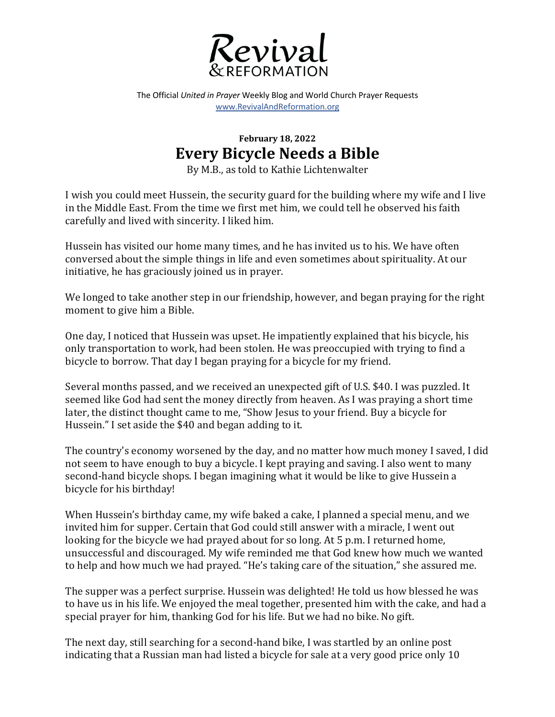

The Official *United in Prayer* Weekly Blog and World Church Prayer Requests www.RevivalAndReformation.org

## **February 18, 2022 Every Bicycle Needs a Bible**

By M.B., as told to Kathie Lichtenwalter

I wish you could meet Hussein, the security guard for the building where my wife and I live in the Middle East. From the time we first met him, we could tell he observed his faith carefully and lived with sincerity. I liked him.

Hussein has visited our home many times, and he has invited us to his. We have often conversed about the simple things in life and even sometimes about spirituality. At our initiative, he has graciously joined us in prayer.

We longed to take another step in our friendship, however, and began praying for the right moment to give him a Bible.

One day, I noticed that Hussein was upset. He impatiently explained that his bicycle, his only transportation to work, had been stolen. He was preoccupied with trying to find a bicycle to borrow. That day I began praying for a bicycle for my friend.

Several months passed, and we received an unexpected gift of U.S. \$40. I was puzzled. It seemed like God had sent the money directly from heaven. As I was praying a short time later, the distinct thought came to me, "Show Jesus to your friend. Buy a bicycle for Hussein." I set aside the \$40 and began adding to it.

The country's economy worsened by the day, and no matter how much money I saved, I did not seem to have enough to buy a bicycle. I kept praying and saving. I also went to many second-hand bicycle shops. I began imagining what it would be like to give Hussein a bicycle for his birthday!

When Hussein's birthday came, my wife baked a cake, I planned a special menu, and we invited him for supper. Certain that God could still answer with a miracle, I went out looking for the bicycle we had prayed about for so long. At 5 p.m. I returned home, unsuccessful and discouraged. My wife reminded me that God knew how much we wanted to help and how much we had prayed. "He's taking care of the situation," she assured me.

The supper was a perfect surprise. Hussein was delighted! He told us how blessed he was to have us in his life. We enjoyed the meal together, presented him with the cake, and had a special prayer for him, thanking God for his life. But we had no bike. No gift.

The next day, still searching for a second-hand bike, I was startled by an online post indicating that a Russian man had listed a bicycle for sale at a very good price only 10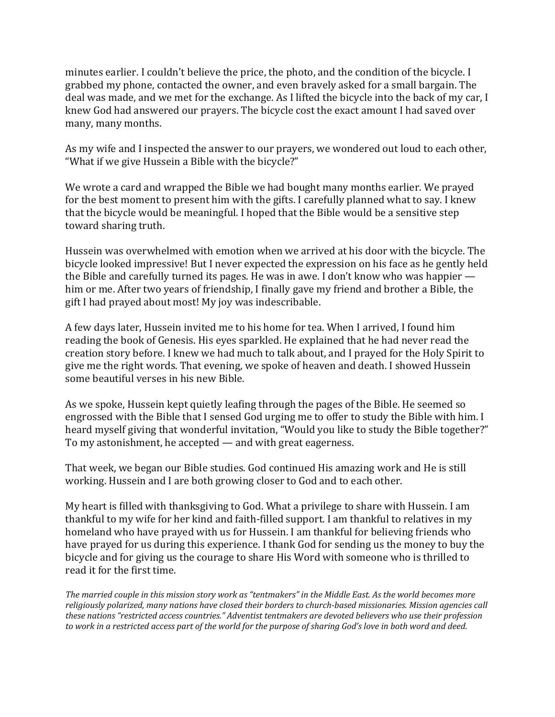minutes earlier. I couldn't believe the price, the photo, and the condition of the bicycle. I grabbed my phone, contacted the owner, and even bravely asked for a small bargain. The deal was made, and we met for the exchange. As I lifted the bicycle into the back of my car, I knew God had answered our prayers. The bicycle cost the exact amount I had saved over many, many months.

As my wife and I inspected the answer to our prayers, we wondered out loud to each other, "What if we give Hussein a Bible with the bicycle?"

We wrote a card and wrapped the Bible we had bought many months earlier. We prayed for the best moment to present him with the gifts. I carefully planned what to say. I knew that the bicycle would be meaningful. I hoped that the Bible would be a sensitive step toward sharing truth.

Hussein was overwhelmed with emotion when we arrived at his door with the bicycle. The bicycle looked impressive! But I never expected the expression on his face as he gently held the Bible and carefully turned its pages. He was in awe. I don't know who was happier  $$ him or me. After two years of friendship, I finally gave my friend and brother a Bible, the gift I had prayed about most! My joy was indescribable.

A few days later, Hussein invited me to his home for tea. When I arrived, I found him reading the book of Genesis. His eyes sparkled. He explained that he had never read the creation story before. I knew we had much to talk about, and I prayed for the Holy Spirit to give me the right words. That evening, we spoke of heaven and death. I showed Hussein some beautiful verses in his new Bible.

As we spoke, Hussein kept quietly leafing through the pages of the Bible. He seemed so engrossed with the Bible that I sensed God urging me to offer to study the Bible with him. I heard myself giving that wonderful invitation, "Would you like to study the Bible together?" To my astonishment, he accepted — and with great eagerness.

That week, we began our Bible studies. God continued His amazing work and He is still working. Hussein and I are both growing closer to God and to each other.

My heart is filled with thanksgiving to God. What a privilege to share with Hussein. I am thankful to my wife for her kind and faith-filled support. I am thankful to relatives in my homeland who have prayed with us for Hussein. I am thankful for believing friends who have prayed for us during this experience. I thank God for sending us the money to buy the bicycle and for giving us the courage to share His Word with someone who is thrilled to read it for the first time.

The married couple in this mission story work as "tentmakers" in the Middle East. As the world becomes more religiously polarized, many nations have closed their borders to church-based missionaries. Mission agencies call these nations "restricted access countries." Adventist tentmakers are devoted believers who use their profession to work in a restricted access part of the world for the purpose of sharing God's love in both word and deed.